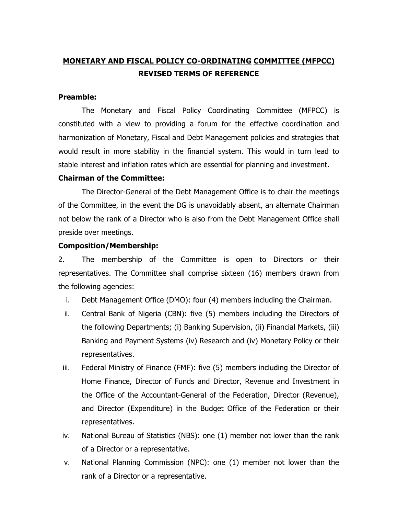# **MONETARY AND FISCAL POLICY CO-ORDINATING COMMITTEE (MFPCC) REVISED TERMS OF REFERENCE**

### **Preamble:**

The Monetary and Fiscal Policy Coordinating Committee (MFPCC) is constituted with a view to providing a forum for the effective coordination and harmonization of Monetary, Fiscal and Debt Management policies and strategies that would result in more stability in the financial system. This would in turn lead to stable interest and inflation rates which are essential for planning and investment.

#### **Chairman of the Committee:**

The Director-General of the Debt Management Office is to chair the meetings of the Committee, in the event the DG is unavoidably absent, an alternate Chairman not below the rank of a Director who is also from the Debt Management Office shall preside over meetings.

#### **Composition/Membership:**

2. The membership of the Committee is open to Directors or their representatives. The Committee shall comprise sixteen (16) members drawn from the following agencies:

- i. Debt Management Office (DMO): four (4) members including the Chairman.
- ii. Central Bank of Nigeria (CBN): five (5) members including the Directors of the following Departments; (i) Banking Supervision, (ii) Financial Markets, (iii) Banking and Payment Systems (iv) Research and (iv) Monetary Policy or their representatives.
- iii. Federal Ministry of Finance (FMF): five (5) members including the Director of Home Finance, Director of Funds and Director, Revenue and Investment in the Office of the Accountant-General of the Federation, Director (Revenue), and Director (Expenditure) in the Budget Office of the Federation or their representatives.
- iv. National Bureau of Statistics (NBS): one (1) member not lower than the rank of a Director or a representative.
- v. National Planning Commission (NPC): one (1) member not lower than the rank of a Director or a representative.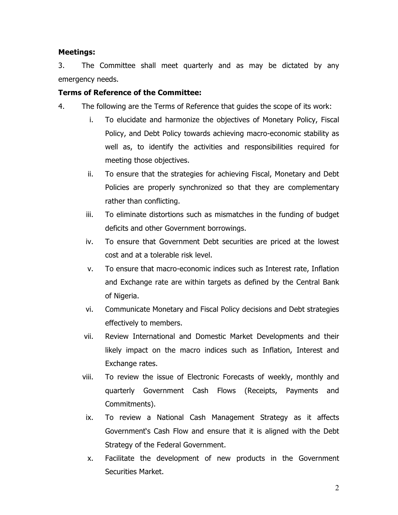## **Meetings:**

3. The Committee shall meet quarterly and as may be dictated by any emergency needs.

## **Terms of Reference of the Committee:**

- 4. The following are the Terms of Reference that guides the scope of its work:
	- i. To elucidate and harmonize the objectives of Monetary Policy, Fiscal Policy, and Debt Policy towards achieving macro-economic stability as well as, to identify the activities and responsibilities required for meeting those objectives.
	- ii. To ensure that the strategies for achieving Fiscal, Monetary and Debt Policies are properly synchronized so that they are complementary rather than conflicting.
	- iii. To eliminate distortions such as mismatches in the funding of budget deficits and other Government borrowings.
	- iv. To ensure that Government Debt securities are priced at the lowest cost and at a tolerable risk level.
	- v. To ensure that macro-economic indices such as Interest rate, Inflation and Exchange rate are within targets as defined by the Central Bank of Nigeria.
	- vi. Communicate Monetary and Fiscal Policy decisions and Debt strategies effectively to members.
	- vii. Review International and Domestic Market Developments and their likely impact on the macro indices such as Inflation, Interest and Exchange rates.
	- viii. To review the issue of Electronic Forecasts of weekly, monthly and quarterly Government Cash Flows (Receipts, Payments and Commitments).
	- ix. To review a National Cash Management Strategy as it affects Government's Cash Flow and ensure that it is aligned with the Debt Strategy of the Federal Government.
	- x. Facilitate the development of new products in the Government Securities Market.